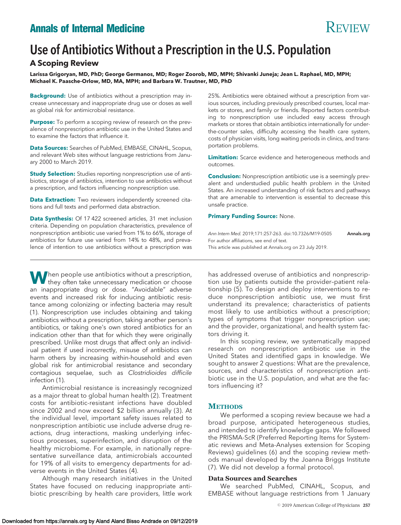## **Annals of Internal Medicine** Review Review Review Review Review Review Review Review Review Review Review Review Review Review Review Review Review Review Review Review Review Review Review Review Review Review Review Rev

# Use of Antibiotics Without a Prescription in the U.S. Population

### **A Scoping Review**

**Larissa Grigoryan, MD, PhD; George Germanos, MD; Roger Zoorob, MD, MPH; Shivanki Juneja; Jean L. Raphael, MD, MPH; Michael K. Paasche-Orlow, MD, MA, MPH; and Barbara W. Trautner, MD, PhD**

**Background:** Use of antibiotics without a prescription may increase unnecessary and inappropriate drug use or doses as well as global risk for antimicrobial resistance.

**Purpose:** To perform a scoping review of research on the prevalence of nonprescription antibiotic use in the United States and to examine the factors that influence it.

**Data Sources:** Searches of PubMed, EMBASE, CINAHL, Scopus, and relevant Web sites without language restrictions from January 2000 to March 2019.

**Study Selection:** Studies reporting nonprescription use of antibiotics, storage of antibiotics, intention to use antibiotics without a prescription, and factors influencing nonprescription use.

**Data Extraction:** Two reviewers independently screened citations and full texts and performed data abstraction.

**Data Synthesis:** Of 17 422 screened articles, 31 met inclusion criteria. Depending on population characteristics, prevalence of nonprescription antibiotic use varied from 1% to 66%, storage of antibiotics for future use varied from 14% to 48%, and prevalence of intention to use antibiotics without a prescription was

**When people use antibiotics without a prescription,**<br>they often take unnecessary medication or choose an inappropriate drug or dose. "Avoidable" adverse events and increased risk for inducing antibiotic resistance among colonizing or infecting bacteria may result (1). Nonprescription use includes obtaining and taking antibiotics without a prescription, taking another person's antibiotics, or taking one's own stored antibiotics for an indication other than that for which they were originally prescribed. Unlike most drugs that affect only an individual patient if used incorrectly, misuse of antibiotics can harm others by increasing within-household and even global risk for antimicrobial resistance and secondary contagious sequelae, such as Clostridioides difficile infection (1).

Antimicrobial resistance is increasingly recognized as a major threat to global human health (2). Treatment costs for antibiotic-resistant infections have doubled since 2002 and now exceed \$2 billion annually (3). At the individual level, important safety issues related to nonprescription antibiotic use include adverse drug reactions, drug interactions, masking underlying infectious processes, superinfection, and disruption of the healthy microbiome. For example, in nationally representative surveillance data, antimicrobials accounted for 19% of all visits to emergency departments for adverse events in the United States (4).

Although many research initiatives in the United States have focused on reducing inappropriate antibiotic prescribing by health care providers, little work

25%. Antibiotics were obtained without a prescription from various sources, including previously prescribed courses, local markets or stores, and family or friends. Reported factors contributing to nonprescription use included easy access through markets or stores that obtain antibiotics internationally for underthe-counter sales, difficulty accessing the health care system, costs of physician visits, long waiting periods in clinics, and transportation problems.

**Limitation:** Scarce evidence and heterogeneous methods and outcomes.

**Conclusion:** Nonprescription antibiotic use is a seemingly prevalent and understudied public health problem in the United States. An increased understanding of risk factors and pathways that are amenable to intervention is essential to decrease this unsafe practice.

#### **Primary Funding Source:** None.

Ann Intern Med. 2019;171:257-263. doi:10.7326/M19-0505 [Annals.org](http://www.annals.org) For author affiliations, see end of text. This article was published at [Annals.org](http://www.annals.org) on 23 July 2019.

has addressed overuse of antibiotics and nonprescription use by patients outside the provider–patient relationship (5). To design and deploy interventions to reduce nonprescription antibiotic use, we must first understand its prevalence; characteristics of patients most likely to use antibiotics without a prescription; types of symptoms that trigger nonprescription use; and the provider, organizational, and health system factors driving it.

In this scoping review, we systematically mapped research on nonprescription antibiotic use in the United States and identified gaps in knowledge. We sought to answer 2 questions: What are the prevalence, sources, and characteristics of nonprescription antibiotic use in the U.S. population, and what are the factors influencing it?

### **METHODS**

We performed a scoping review because we had a broad purpose, anticipated heterogeneous studies, and intended to identify knowledge gaps. We followed the PRISMA-ScR (Preferred Reporting Items for Systematic reviews and Meta-Analyses extension for Scoping Reviews) guidelines (6) and the scoping review methods manual developed by the Joanna Briggs Institute (7). We did not develop a formal protocol.

#### **Data Sources and Searches**

We searched PubMed, CINAHL, Scopus, and EMBASE without language restrictions from 1 January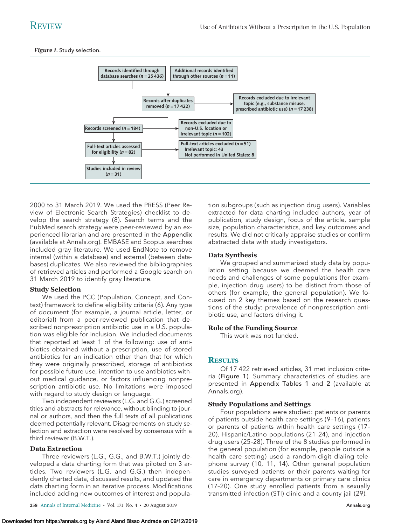#### *Figure 1.* Study selection.



2000 to 31 March 2019. We used the PRESS (Peer Review of Electronic Search Strategies) checklist to develop the search strategy (8). Search terms and the PubMed search strategy were peer-reviewed by an experienced librarian and are presented in the Appendix (available at [Annals.org\)](http://www.annals.org). EMBASE and Scopus searches included gray literature. We used EndNote to remove internal (within a database) and external (between databases) duplicates. We also reviewed the bibliographies of retrieved articles and performed a Google search on 31 March 2019 to identify gray literature.

#### **Study Selection**

We used the PCC (Population, Concept, and Context) framework to define eligibility criteria (6). Any type of document (for example, a journal article, letter, or editorial) from a peer-reviewed publication that described nonprescription antibiotic use in a U.S. population was eligible for inclusion. We included documents that reported at least 1 of the following: use of antibiotics obtained without a prescription, use of stored antibiotics for an indication other than that for which they were originally prescribed, storage of antibiotics for possible future use, intention to use antibiotics without medical guidance, or factors influencing nonprescription antibiotic use. No limitations were imposed with regard to study design or language.

Two independent reviewers (L.G. and G.G.) screened titles and abstracts for relevance, without blinding to journal or authors, and then the full texts of all publications deemed potentially relevant. Disagreements on study selection and extraction were resolved by consensus with a third reviewer (B.W.T.).

#### **Data Extraction**

Three reviewers (L.G., G.G., and B.W.T.) jointly developed a data charting form that was piloted on 3 articles. Two reviewers (L.G. and G.G.) then independently charted data, discussed results, and updated the data charting form in an iterative process. Modifications included adding new outcomes of interest and popula-

258 Annals of Internal Medicine • Vol. 171 No. 4 • 20 August 2019 **[Annals.org](http://www.annals.org) Annals.org** 

tion subgroups (such as injection drug users). Variables extracted for data charting included authors, year of publication, study design, focus of the article, sample size, population characteristics, and key outcomes and results. We did not critically appraise studies or confirm abstracted data with study investigators.

#### **Data Synthesis**

We grouped and summarized study data by population setting because we deemed the health care needs and challenges of some populations (for example, injection drug users) to be distinct from those of others (for example, the general population). We focused on 2 key themes based on the research questions of the study: prevalence of nonprescription antibiotic use, and factors driving it.

#### **Role of the Funding Source**

This work was not funded.

#### **RESULTS**

Of 17 422 retrieved articles, 31 met inclusion criteria (Figure 1). Summary characteristics of studies are presented in Appendix Tables 1 and 2 (available at [Annals.org\)](http://www.annals.org).

#### **Study Populations and Settings**

Four populations were studied: patients or parents of patients outside health care settings (9 –16), patients or parents of patients within health care settings (17– 20), Hispanic/Latino populations (21–24), and injection drug users (25–28). Three of the 8 studies performed in the general population (for example, people outside a health care setting) used a random-digit dialing telephone survey (10, 11, 14). Other general population studies surveyed patients or their parents waiting for care in emergency departments or primary care clinics (17–20). One study enrolled patients from a sexually transmitted infection (STI) clinic and a county jail (29).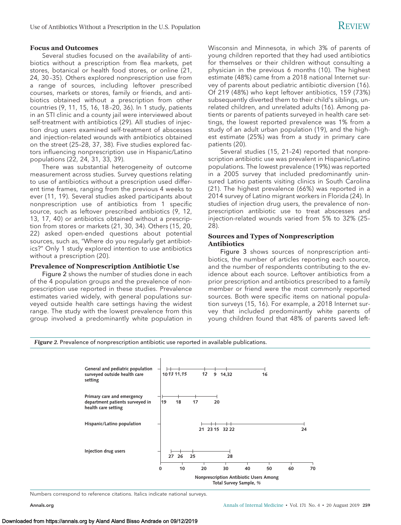#### **Focus and Outcomes**

Several studies focused on the availability of antibiotics without a prescription from flea markets, pet stores, botanical or health food stores, or online (21, 24, 30 –35). Others explored nonprescription use from a range of sources, including leftover prescribed courses, markets or stores, family or friends, and antibiotics obtained without a prescription from other countries (9, 11, 15, 16, 18 –20, 36). In 1 study, patients in an STI clinic and a county jail were interviewed about self-treatment with antibiotics (29). All studies of injection drug users examined self-treatment of abscesses and injection-related wounds with antibiotics obtained on the street (25–28, 37, 38). Five studies explored factors influencing nonprescription use in Hispanic/Latino populations (22, 24, 31, 33, 39).

There was substantial heterogeneity of outcome measurement across studies. Survey questions relating to use of antibiotics without a prescription used different time frames, ranging from the previous 4 weeks to ever (11, 19). Several studies asked participants about nonprescription use of antibiotics from 1 specific source, such as leftover prescribed antibiotics (9, 12, 13, 17, 40) or antibiotics obtained without a prescription from stores or markets (21, 30, 34). Others (15, 20, 22) asked open-ended questions about potential sources, such as, "Where do you regularly get antibiotics?" Only 1 study explored intention to use antibiotics without a prescription (20).

#### **Prevalence of Nonprescription Antibiotic Use**

Figure 2 shows the number of studies done in each of the 4 population groups and the prevalence of nonprescription use reported in these studies. Prevalence estimates varied widely, with general populations surveyed outside health care settings having the widest range. The study with the lowest prevalence from this group involved a predominantly white population in

Wisconsin and Minnesota, in which 3% of parents of young children reported that they had used antibiotics for themselves or their children without consulting a physician in the previous 6 months (10). The highest estimate (48%) came from a 2018 national Internet survey of parents about pediatric antibiotic diversion (16). Of 219 (48%) who kept leftover antibiotics, 159 (73%) subsequently diverted them to their child's siblings, unrelated children, and unrelated adults (16). Among patients or parents of patients surveyed in health care settings, the lowest reported prevalence was 1% from a study of an adult urban population (19), and the highest estimate (25%) was from a study in primary care patients (20).

Several studies (15, 21–24) reported that nonprescription antibiotic use was prevalent in Hispanic/Latino populations. The lowest prevalence (19%) was reported in a 2005 survey that included predominantly uninsured Latino patients visiting clinics in South Carolina (21). The highest prevalence (66%) was reported in a 2014 survey of Latino migrant workers in Florida (24). In studies of injection drug users, the prevalence of nonprescription antibiotic use to treat abscesses and injection-related wounds varied from 5% to 32% (25– 28).

#### **Sources and Types of Nonprescription Antibiotics**

Figure 3 shows sources of nonprescription antibiotics, the number of articles reporting each source, and the number of respondents contributing to the evidence about each source. Leftover antibiotics from a prior prescription and antibiotics prescribed to a family member or friend were the most commonly reported sources. Both were specific items on national population surveys (15, 16). For example, a 2018 Internet survey that included predominantly white parents of young children found that 48% of parents saved left-

*Figure 2.* Prevalence of nonprescription antibiotic use reported in available publications.



Numbers correspond to reference citations. Italics indicate national surveys.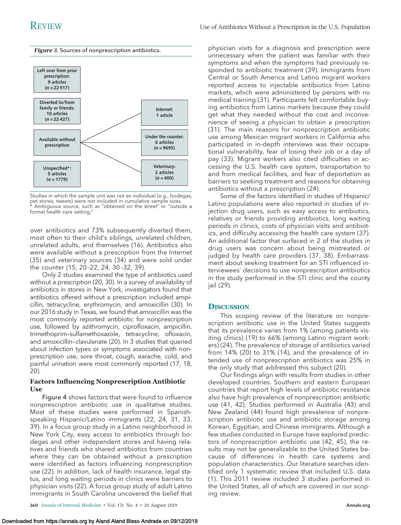



Studies in which the sample unit was not an individual (e.g., bodegas, pet stores, tweets) were not included in cumulative sample sizes. Ambiguous source, such as "obtained on the street" or "outside a formal health care setting.

over antibiotics and 73% subsequently diverted them, most often to their child's siblings, unrelated children, unrelated adults, and themselves (16). Antibiotics also were available without a prescription from the Internet (35) and veterinary sources (34) and were sold under the counter (15, 20 –22, 24, 30 –32, 39).

Only 2 studies examined the type of antibiotics used without a prescription (20, 30). In a survey of availability of antibiotics in stores in New York, investigators found that antibiotics offered without a prescription included ampicillin, tetracycline, erythromycin, and amoxicillin (30). In our 2016 study in Texas, we found that amoxicillin was the most commonly reported antibiotic for nonprescription use, followed by azithromycin, ciprofloxacin, ampicillin, trimethoprim–sulfamethoxazole, tetracycline, ofloxacin, and amoxicillin– clavulanate (20). In 3 studies that queried about infection types or symptoms associated with nonprescription use, sore throat, cough, earache, cold, and painful urination were most commonly reported (17, 18, 20).

#### **Factors Influencing Nonprescription Antibiotic Use**

Figure 4 shows factors that were found to influence nonprescription antibiotic use in qualitative studies. Most of these studies were performed in Spanishspeaking Hispanic/Latino immigrants (22, 24, 31, 33, 39). In a focus group study in a Latino neighborhood in New York City, easy access to antibiotics through bodegas and other independent stores and having relatives and friends who shared antibiotics from countries where they can be obtained without a prescription were identified as factors influencing nonprescription use (22). In addition, lack of health insurance, legal status, and long waiting periods in clinics were barriers to physician visits (22). A focus group study of adult Latino immigrants in South Carolina uncovered the belief that

physician visits for a diagnosis and prescription were unnecessary when the patient was familiar with their symptoms and when the symptoms had previously responded to antibiotic treatment (39). Immigrants from Central or South America and Latino migrant workers reported access to injectable antibiotics from Latino markets, which were administered by persons with no medical training (31). Participants felt comfortable buying antibiotics from Latino markets because they could get what they needed without the cost and inconvenience of seeing a physician to obtain a prescription (31). The main reasons for nonprescription antibiotic use among Mexican migrant workers in California who participated in in-depth interviews was their occupational vulnerability, fear of losing their job or a day of pay (33). Migrant workers also cited difficulties in accessing the U.S. health care system, transportation to and from medical facilities, and fear of deportation as barriers to seeking treatment and reasons for obtaining antibiotics without a prescription (24).

Some of the factors identified in studies of Hispanic/ Latino populations were also reported in studies of injection drug users, such as easy access to antibiotics, relatives or friends providing antibiotics, long waiting periods in clinics, costs of physician visits and antibiotics, and difficulty accessing the health care system (37). An additional factor that surfaced in 2 of the studies in drug users was concern about being mistreated or judged by health care providers (37, 38). Embarrassment about seeking treatment for an STI influenced interviewees' decisions to use nonprescription antibiotics in the study performed in the STI clinic and the county jail (29).

#### **DISCUSSION**

This scoping review of the literature on nonprescription antibiotic use in the United States suggests that its prevalence varies from 1% (among patients visiting clinics) (19) to 66% (among Latino migrant workers) (24). The prevalence of storage of antibiotics varied from 14% (20) to 31% (14), and the prevalence of intended use of nonprescription antibiotics was 25% in the only study that addressed this subject (20).

Our findings align with results from studies in other developed countries. Southern and eastern European countries that report high levels of antibiotic resistance also have high prevalence of nonprescription antibiotic use (41, 42). Studies performed in Australia (43) and New Zealand (44) found high prevalence of nonprescription antibiotic use and antibiotic storage among Korean, Egyptian, and Chinese immigrants. Although a few studies conducted in Europe have explored predictors of nonprescription antibiotic use (42, 45), the results may not be generalizable to the United States because of differences in health care systems and population characteristics. Our literature searches identified only 1 systematic review that included U.S. data (1). This 2011 review included 3 studies performed in the United States, all of which are covered in our scoping review.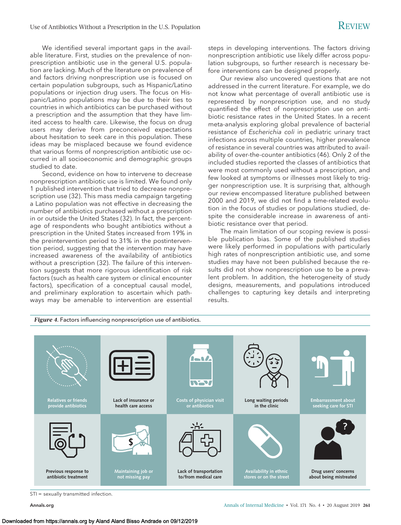We identified several important gaps in the available literature. First, studies on the prevalence of nonprescription antibiotic use in the general U.S. population are lacking. Much of the literature on prevalence of and factors driving nonprescription use is focused on certain population subgroups, such as Hispanic/Latino populations or injection drug users. The focus on Hispanic/Latino populations may be due to their ties to countries in which antibiotics can be purchased without a prescription and the assumption that they have limited access to health care. Likewise, the focus on drug users may derive from preconceived expectations about hesitation to seek care in this population. These ideas may be misplaced because we found evidence that various forms of nonprescription antibiotic use occurred in all socioeconomic and demographic groups studied to date.

Second, evidence on how to intervene to decrease nonprescription antibiotic use is limited. We found only 1 published intervention that tried to decrease nonprescription use (32). This mass media campaign targeting a Latino population was not effective in decreasing the number of antibiotics purchased without a prescription in or outside the United States (32). In fact, the percentage of respondents who bought antibiotics without a prescription in the United States increased from 19% in the preintervention period to 31% in the postintervention period, suggesting that the intervention may have increased awareness of the availability of antibiotics without a prescription (32). The failure of this intervention suggests that more rigorous identification of risk factors (such as health care system or clinical encounter factors), specification of a conceptual causal model, and preliminary exploration to ascertain which pathways may be amenable to intervention are essential

steps in developing interventions. The factors driving nonprescription antibiotic use likely differ across population subgroups, so further research is necessary before interventions can be designed properly.

Our review also uncovered questions that are not addressed in the current literature. For example, we do not know what percentage of overall antibiotic use is represented by nonprescription use, and no study quantified the effect of nonprescription use on antibiotic resistance rates in the United States. In a recent meta-analysis exploring global prevalence of bacterial resistance of Escherichia coli in pediatric urinary tract infections across multiple countries, higher prevalence of resistance in several countries was attributed to availability of over-the-counter antibiotics (46). Only 2 of the included studies reported the classes of antibiotics that were most commonly used without a prescription, and few looked at symptoms or illnesses most likely to trigger nonprescription use. It is surprising that, although our review encompassed literature published between 2000 and 2019, we did not find a time-related evolution in the focus of studies or populations studied, despite the considerable increase in awareness of antibiotic resistance over that period.

The main limitation of our scoping review is possible publication bias. Some of the published studies were likely performed in populations with particularly high rates of nonprescription antibiotic use, and some studies may have not been published because the results did not show nonprescription use to be a prevalent problem. In addition, the heterogeneity of study designs, measurements, and populations introduced challenges to capturing key details and interpreting results.



STI = sexually transmitted infection.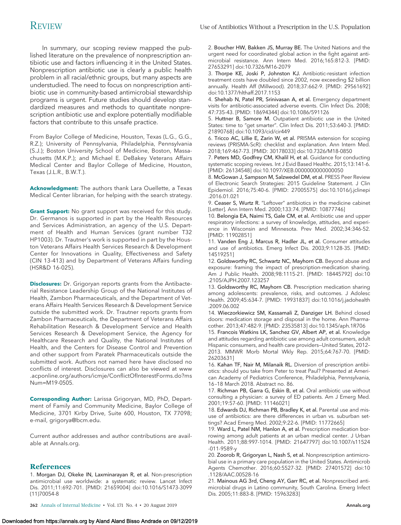In summary, our scoping review mapped the published literature on the prevalence of nonprescription antibiotic use and factors influencing it in the United States. Nonprescription antibiotic use is clearly a public health problem in all racial/ethnic groups, but many aspects are understudied. The need to focus on nonprescription antibiotic use in community-based antimicrobial stewardship programs is urgent. Future studies should develop standardized measures and methods to quantitate nonprescription antibiotic use and explore potentially modifiable factors that contribute to this unsafe practice.

From Baylor College of Medicine, Houston, Texas (L.G., G.G., R.Z.); University of Pennsylvania, Philadelphia, Pennsylvania (S.J.); Boston University School of Medicine, Boston, Massachusetts (M.K.P.); and Michael E. DeBakey Veterans Affairs Medical Center and Baylor College of Medicine, Houston, Texas (J.L.R., B.W.T.).

**Acknowledgment:** The authors thank Lara Ouellette, a Texas Medical Center librarian, for helping with the search strategy.

**Grant Support:** No grant support was received for this study. Dr. Germanos is supported in part by the Health Resources and Services Administration, an agency of the U.S. Department of Health and Human Services (grant number T32 HP1003). Dr. Trautner's work is supported in part by the Houston Veterans Affairs Health Services Research & Development Center for Innovations in Quality, Effectiveness and Safety (CIN 13-413) and by Department of Veterans Affairs funding (HSR&D 16-025).

**Disclosures:** Dr. Grigoryan reports grants from the Antibacterial Resistance Leadership Group of the National Institutes of Health, Zambon Pharmaceuticals, and the Department of Veterans Affairs Health Services Research & Development Service outside the submitted work. Dr. Trautner reports grants from Zambon Pharmaceuticals, the Department of Veterans Affairs Rehabilitation Research & Development Service and Health Services Research & Development Service, the Agency for Healthcare Research and Quality, the National Institutes of Health, and the Centers for Disease Control and Prevention and other support from Paratek Pharmaceuticals outside the submitted work. Authors not named here have disclosed no conflicts of interest. Disclosures can also be viewed at [www](http://www.acponline.org/authors/icmje/ConflictOfInterestForms.do?msNum=M19-0505) [.acponline.org/authors/icmje/ConflictOfInterestForms.do?ms](http://www.acponline.org/authors/icmje/ConflictOfInterestForms.do?msNum=M19-0505) [Num=M19-0505.](http://www.acponline.org/authors/icmje/ConflictOfInterestForms.do?msNum=M19-0505)

**Corresponding Author:** Larissa Grigoryan, MD, PhD, Department of Family and Community Medicine, Baylor College of Medicine, 3701 Kirby Drive, Suite 600, Houston, TX 77098; e-mail, [grigorya@bcm.edu.](mailto:grigorya@bcm.edu)

Current author addresses and author contributions are available at [Annals.org.](http://www.annals.org)

### **References**

1. Morgan DJ, Okeke IN, Laxminarayan R, et al. Non-prescription antimicrobial use worldwide: a systematic review. Lancet Infect Dis. 2011;11:692-701. [PMID: 21659004] doi:10.1016/S1473-3099 (11)70054-8

2. Boucher HW, Bakken JS, Murray BE. The United Nations and the urgent need for coordinated global action in the fight against antimicrobial resistance. Ann Intern Med. 2016;165:812-3. [PMID: 27653291] doi:10.7326/M16-2079

3. Thorpe KE, Joski P, Johnston KJ. Antibiotic-resistant infection treatment costs have doubled since 2002, now exceeding \$2 billion annually. Health Aff (Millwood). 2018;37:662-9. [PMID: 29561692] doi:10.1377/hlthaff.2017.1153

4. Shehab N, Patel PR, Srinivasan A, et al. Emergency department visits for antibiotic-associated adverse events. Clin Infect Dis. 2008; 47:735-43. [PMID: 18694344] doi:10.1086/591126

5. Huttner B, Samore M. Outpatient antibiotic use in the United States: time to "get smarter". Clin Infect Dis. 2011;53:640-3. [PMID: 21890768] doi:10.1093/cid/cir449

6. Tricco AC, Lillie E, Zarin W, et al. PRISMA extension for scoping reviews (PRISMA-ScR): checklist and explanation. Ann Intern Med. 2018;169:467-73. [PMID: 30178033] doi:10.7326/M18-0850

7. Peters MD, Godfrey CM, Khalil H, et al. Guidance for conducting systematic scoping reviews. Int J Evid Based Healthc. 2015;13:141-6. [PMID: 26134548] doi:10.1097/XEB.0000000000000050

8. McGowan J, Sampson M, Salzwedel DM, et al. PRESS Peer Review of Electronic Search Strategies: 2015 Guideline Statement. J Clin Epidemiol. 2016;75:40-6. [PMID: 27005575] doi:10.1016/j.jclinepi .2016.01.021

9. Ceaser S, Wurtz R. "Leftover" antibiotics in the medicine cabinet [Letter]. Ann Intern Med. 2000;133:74. [PMID: 10877746]

10. Belongia EA, Naimi TS, Gale CM, et al. Antibiotic use and upper respiratory infections: a survey of knowledge, attitudes, and experience in Wisconsin and Minnesota. Prev Med. 2002;34:346-52. [PMID: 11902851]

11. Vanden Eng J, Marcus R, Hadler JL, et al. Consumer attitudes and use of antibiotics. Emerg Infect Dis. 2003;9:1128-35. [PMID: 14519251]

12. Goldsworthy RC, Schwartz NC, Mayhorn CB. Beyond abuse and exposure: framing the impact of prescription-medication sharing. Am J Public Health. 2008;98:1115-21. [PMID: 18445792] doi:10 .2105/AJPH.2007.123257

13. Goldsworthy RC, Mayhorn CB. Prescription medication sharing among adolescents: prevalence, risks, and outcomes. J Adolesc Health. 2009;45:634-7. [PMID: 19931837] doi:10.1016/j.jadohealth .2009.06.002

14. Wieczorkiewicz SM, Kassamali Z, Danziger LH. Behind closed doors: medication storage and disposal in the home. Ann Pharmacother. 2013;47:482-9. [PMID: 23535813] doi:10.1345/aph.1R706

15. Francois Watkins LK, Sanchez GV, Albert AP, et al. Knowledge and attitudes regarding antibiotic use among adult consumers, adult Hispanic consumers, and health care providers—United States, 2012– 2013. MMWR Morb Mortal Wkly Rep. 2015;64:767-70. [PMID: 26203631]

16. Kahan TF, Nair M, Milanaik RL. Diversion of prescription antibiotics: should you take from Peter to treat Paul? Presented at American Academy of Pediatrics Conference, Philadelphia, Pennsylvania, 16 –18 March 2018. Abstract no. 86.

17. Richman PB, Garra G, Eskin B, et al. Oral antibiotic use without consulting a physician: a survey of ED patients. Am J Emerg Med. 2001;19:57-60. [PMID: 11146021]

18. Edwards DJ, Richman PB, Bradley K, et al. Parental use and misuse of antibiotics: are there differences in urban vs. suburban settings? Acad Emerg Med. 2002;9:22-6. [PMID: 11772665]

19. Ward L, Patel NM, Hanlon A, et al. Prescription medication borrowing among adult patients at an urban medical center. J Urban Health. 2011;88:997-1014. [PMID: 21647797] doi:10.1007/s11524 -011-9589-y

20. Zoorob R, Grigoryan L, Nash S, et al. Nonprescription antimicrobial use in a primary care population in the United States. Antimicrob Agents Chemother. 2016;60:5527-32. [PMID: 27401572] doi:10 .1128/AAC.00528-16

21. Mainous AG 3rd, Cheng AY, Garr RC, et al. Nonprescribed antimicrobial drugs in Latino community, South Carolina. Emerg Infect Dis. 2005;11:883-8. [PMID: 15963283]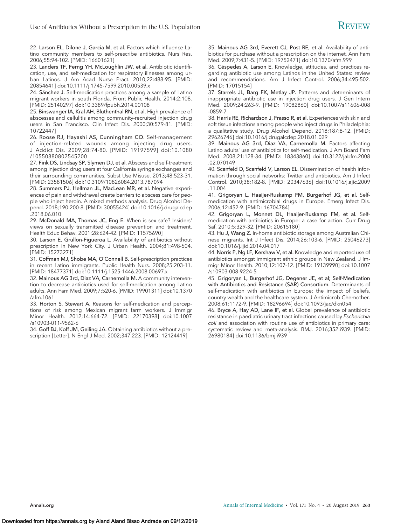22. Larson EL, Dilone J, Garcia M, et al. Factors which influence Latino community members to self-prescribe antibiotics. Nurs Res. 2006;55:94-102. [PMID: 16601621]

23. Landers TF, Ferng YH, McLoughlin JW, et al. Antibiotic identification, use, and self-medication for respiratory illnesses among urban Latinos. J Am Acad Nurse Pract. 2010;22:488-95. [PMID: 20854641] doi:10.1111/j.1745-7599.2010.00539.x

24. Sánchez J. Self-medication practices among a sample of Latino migrant workers in south Florida. Front Public Health. 2014;2:108. [PMID: 25140297] doi:10.3389/fpubh.2014.00108

25. Binswanger IA, Kral AH, Bluthenthal RN, et al. High prevalence of abscesses and cellulitis among community-recruited injection drug users in San Francisco. Clin Infect Dis. 2000;30:579-81. [PMID: 10722447]

26. Roose RJ, Hayashi AS, Cunningham CO. Self-management of injection-related wounds among injecting drug users. J Addict Dis. 2009;28:74-80. [PMID: 19197599] doi:10.1080 /10550880802545200

27. Fink DS, Lindsay SP, Slymen DJ, et al. Abscess and self-treatment among injection drug users at four California syringe exchanges and their surrounding communities. Subst Use Misuse. 2013;48:523-31. [PMID: 23581506] doi:10.3109/10826084.2013.787094

28. Summers PJ, Hellman JL, MacLean MR, et al. Negative experiences of pain and withdrawal create barriers to abscess care for people who inject heroin. A mixed methods analysis. Drug Alcohol Depend. 2018;190:200-8. [PMID: 30055424] doi:10.1016/j.drugalcdep .2018.06.010

29. McDonald MA, Thomas JC, Eng E. When is sex safe? Insiders' views on sexually transmitted disease prevention and treatment. Health Educ Behav. 2001;28:624-42. [PMID: 11575690]

30. Larson E, Grullon-Figueroa L. Availability of antibiotics without prescription in New York City. J Urban Health. 2004;81:498-504. [PMID: 15273271]

31. Coffman MJ, Shobe MA, O'Connell B. Self-prescription practices in recent Latino immigrants. Public Health Nurs. 2008;25:203-11. [PMID: 18477371] doi:10.1111/j.1525-1446.2008.00697.x

32. Mainous AG 3rd, Diaz VA, Carnemolla M. A community intervention to decrease antibiotics used for self-medication among Latino adults. Ann Fam Med. 2009;7:520-6. [PMID: 19901311] doi:10.1370 /afm.1061

33. Horton S, Stewart A. Reasons for self-medication and perceptions of risk among Mexican migrant farm workers. J Immigr Minor Health. 2012;14:664-72. [PMID: 22170398] doi:10.1007 /s10903-011-9562-6

34. Goff BJ, Koff JM, Geiling JA. Obtaining antibiotics without a prescription [Letter]. N Engl J Med. 2002;347:223. [PMID: 12124419]

35. Mainous AG 3rd, Everett CJ, Post RE, et al. Availability of antibiotics for purchase without a prescription on the internet. Ann Fam Med. 2009;7:431-5. [PMID: 19752471] doi:10.1370/afm.999

36. Céspedes A, Larson E. Knowledge, attitudes, and practices regarding antibiotic use among Latinos in the United States: review and recommendations. Am J Infect Control. 2006;34:495-502. [PMID: 17015154]

37. Starrels JL, Barg FK, Metlay JP. Patterns and determinants of inappropriate antibiotic use in injection drug users. J Gen Intern Med. 2009;24:263-9. [PMID: 19082860] doi:10.1007/s11606-008 -0859-7

38. Harris RE, Richardson J, Frasso R, et al. Experiences with skin and soft tissue infections among people who inject drugs in Philadelphia: a qualitative study. Drug Alcohol Depend. 2018;187:8-12. [PMID: 29626746] doi:10.1016/j.drugalcdep.2018.01.029

39. Mainous AG 3rd, Diaz VA, Carnemolla M. Factors affecting Latino adults' use of antibiotics for self-medication. J Am Board Fam Med. 2008;21:128-34. [PMID: 18343860] doi:10.3122/jabfm.2008 .02.070149

40. Scanfeld D, Scanfeld V, Larson EL. Dissemination of health information through social networks: Twitter and antibiotics. Am J Infect Control. 2010;38:182-8. [PMID: 20347636] doi:10.1016/j.ajic.2009 .11.004

41. Grigoryan L, Haaijer-Ruskamp FM, Burgerhof JG, et al. Selfmedication with antimicrobial drugs in Europe. Emerg Infect Dis. 2006;12:452-9. [PMID: 16704784]

42. Grigoryan L, Monnet DL, Haaijer-Ruskamp FM, et al. Selfmedication with antibiotics in Europe: a case for action. Curr Drug Saf. 2010;5:329-32. [PMID: 20615180]

43. Hu J, Wang Z. In-home antibiotic storage among Australian Chinese migrants. Int J Infect Dis. 2014;26:103-6. [PMID: 25046273] doi:10.1016/j.ijid.2014.04.017

44. Norris P, Ng LF, Kershaw V, et al. Knowledge and reported use of antibiotics amongst immigrant ethnic groups in New Zealand. J Immigr Minor Health. 2010;12:107-12. [PMID: 19139990] doi:10.1007 /s10903-008-9224-5

45. Grigoryan L, Burgerhof JG, Degener JE, et al; Self-Medication with Antibiotics and Resistance (SAR) Consortium. Determinants of self-medication with antibiotics in Europe: the impact of beliefs, country wealth and the healthcare system. J Antimicrob Chemother. 2008;61:1172-9. [PMID: 18296694] doi:10.1093/jac/dkn054

46. Bryce A, Hay AD, Lane IF, et al. Global prevalence of antibiotic resistance in paediatric urinary tract infections caused by Escherichia coli and association with routine use of antibiotics in primary care: systematic review and meta-analysis. BMJ. 2016;352:i939. [PMID: 26980184] doi:10.1136/bmj.i939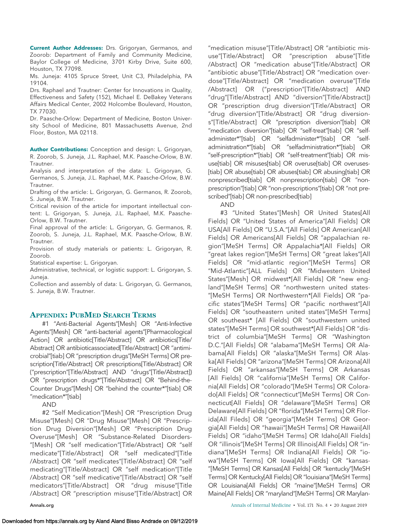**Current Author Addresses:** Drs. Grigoryan, Germanos, and Zoorob: Department of Family and Community Medicine, Baylor College of Medicine, 3701 Kirby Drive, Suite 600, Houston, TX 77098.

Ms. Juneja: 4105 Spruce Street, Unit C3, Philadelphia, PA 19104.

Drs. Raphael and Trautner: Center for Innovations in Quality, Effectiveness and Safety (152), Michael E. DeBakey Veterans Affairs Medical Center, 2002 Holcombe Boulevard, Houston, TX 77030.

Dr. Paasche-Orlow: Department of Medicine, Boston University School of Medicine, 801 Massachusetts Avenue, 2nd Floor, Boston, MA 02118.

**Author Contributions:** Conception and design: L. Grigoryan, R. Zoorob, S. Juneja, J.L. Raphael, M.K. Paasche-Orlow, B.W. Trautner.

Analysis and interpretation of the data: L. Grigoryan, G. Germanos, S. Juneja, J.L. Raphael, M.K. Paasche-Orlow, B.W. Trautner.

Drafting of the article: L. Grigoryan, G. Germanos, R. Zoorob, S. Juneja, B.W. Trautner.

Critical revision of the article for important intellectual content: L. Grigoryan, S. Juneja, J.L. Raphael, M.K. Paasche-Orlow, B.W. Trautner.

Final approval of the article: L. Grigoryan, G. Germanos, R. Zoorob, S. Juneja, J.L. Raphael, M.K. Paasche-Orlow, B.W. Trautner.

Provision of study materials or patients: L. Grigoryan, R. Zoorob.

Statistical expertise: L. Grigoryan.

Administrative, technical, or logistic support: L. Grigoryan, S. Juneja.

Collection and assembly of data: L. Grigoryan, G. Germanos, S. Juneja, B.W. Trautner.

### **APPENDIX: PUBMED SEARCH TERMS**

#1 "Anti-Bacterial Agents"[Mesh] OR "Anti-Infective Agents"[Mesh] OR "anti-bacterial agents"[Pharmacological Action] OR antibiotic[Title/Abstract] OR antibiotics[Title/ Abstract] OR antibioticassociated[Title/Abstract] OR "antimicrobial"[tiab] OR "prescription drugs"[MeSH Terms] OR prescription[Title/Abstract] OR prescriptions[Title/Abstract] OR ("prescription"[Title/Abstract] AND "drugs"[Title/Abstract]) OR "prescription drugs\*"[Title/Abstract] OR "Behind-the-Counter Drugs"[Mesh] OR "behind the counter\*"[tiab] OR "medication\*"[tiab]

AND

#2 "Self Medication"[Mesh] OR "Prescription Drug Misuse"[Mesh] OR "Drug Misuse"[Mesh] OR "Prescription Drug Diversion"[Mesh] OR "Prescription Drug Overuse"[Mesh] OR "Substance-Related Disorders- "[Mesh] OR "self medication"[Title/Abstract] OR "self medicate"[Title/Abstract] OR "self medicated"[Title /Abstract] OR "self medicates"[Title/Abstract] OR "self medicating"[Title/Abstract] OR "self medication"[Title /Abstract] OR "self medicative"[Title/Abstract] OR "self medicators"[Title/Abstract] OR "drug misuse"[Title /Abstract] OR "prescription misuse"[Title/Abstract] OR

"medication misuse"[Title/Abstract] OR "antibiotic misuse"[Title/Abstract] OR "prescription abuse"[Title /Abstract] OR "medication abuse"[Title/Abstract] OR "antibiotic abuse"[Title/Abstract] OR "medication overdose"[Title/Abstract] OR "medication overuse"[Title /Abstract] OR ("prescription"[Title/Abstract] AND "drug"[Title/Abstract] AND "diversion"[Title/Abstract]) OR "prescription drug diversion"[Title/Abstract] OR "drug diversion"[Title/Abstract] OR "drug diversions"[Title/Abstract] OR "prescription diversion"[tiab] OR "medication diversion"[tiab] OR "self-treat"[tiab] OR "selfadminister\*"[tiab] OR "selfadminister\*"[tiab] OR "selfadministration\*"[tiab] OR "selfadministration\*"[tiab] OR "self-prescription\*"[tiab] OR "self-treatment"[tiab] OR misuse[tiab] OR misuses[tiab] OR overuse[tiab] OR overuses- [tiab] OR abuse[tiab] OR abuses[tiab] OR abusing[tiab] OR nonprescribed[tiab] OR nonprescription[tiab] OR "nonprescription"[tiab] OR "non-prescriptions"[tiab] OR "not pre-

scribed"[tiab] OR non-prescribed[tiab] AND

#3 "United States"[Mesh] OR United States[All Fields] OR "United States of America"[All Fields] OR USA[All Fields] OR "U.S.A."[All Fields] OR American[All Fields] OR Americans[All Fields] OR "appalachian region"[MeSH Terms] OR Appalachia\*[All Fields] OR "great lakes region"[MeSH Terms] OR "great lakes"[All Fields] OR "mid-atlantic region"[MeSH Terms] OR "Mid-Atlantic"[ALL Fields] OR "Midwestern United States"[Mesh] OR midwest\*[All Fields] OR "new england"[MeSH Terms] OR "northwestern united states- "[MeSH Terms] OR Northwestern\*[All Fields] OR "pacific states"[MeSH Terms] OR "pacific northwest"[All Fields] OR "southeastern united states"[MeSH Terms] OR southeast\* [All Fields] OR "southwestern united states"[MeSH Terms] OR southwest\*[All Fields] OR "district of columbia"[MeSH Terms] OR "Washington D.C."[All Fields] OR "alabama"[MeSH Terms] OR Alabama[All Fields] OR "alaska"[MeSH Terms] OR Alaska[All Fields] OR "arizona"[MeSH Terms] OR Arizona[All Fields] OR "arkansas"[MeSH Terms] OR Arkansas [All Fields] OR "california"[MeSH Terms] OR California[All Fields] OR "colorado"[MeSH Terms] OR Colorado[All Fields] OR "connecticut"[MeSH Terms] OR Connecticut[All Fields] OR "delaware"[MeSH Terms] OR Delaware[All Fields] OR "florida"[MeSH Terms] OR Florida[All Fileds] OR "georgia"[MeSH Terms] OR Georgia[All Fields] OR "hawaii"[MeSH Terms] OR Hawaii[All Fields] OR "idaho"[MeSH Terms] OR Idaho[All Fields] OR "illinois"[MeSH Terms] OR Illinois[All Fields] OR "indiana"[MeSH Terms] OR Indiana[All Fields] OR "iowa"[MeSH Terms] OR Iowa[All Fields] OR "kansas- "[MeSH Terms] OR Kansas[All Fields] OR "kentucky"[MeSH Terms] OR Kentucky[All Fields] OR "louisiana"[MeSH Terms] OR Louisiana[All Fields] OR "maine"[MeSH Terms] OR Maine[All Fields] OR "maryland"[MeSH Terms] OR Marylan-

[Annals.org](http://www.annals.org) **Annals of Internal Medicine • Vol. 171 No. 4 • 20 August 2019**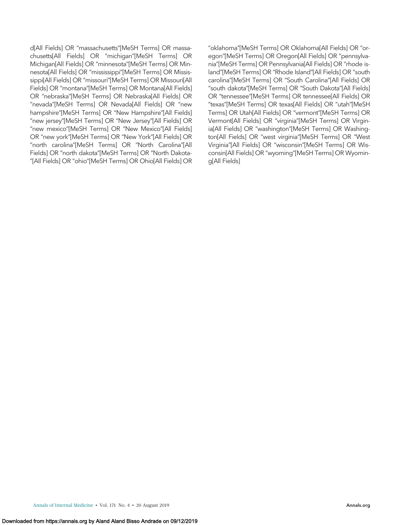d[All Fields] OR "massachusetts"[MeSH Terms] OR massachusetts[All Fields] OR "michigan"[MeSH Terms] OR Michigan[All Fields] OR "minnesota"[MeSH Terms] OR Minnesota[All Fields] OR "mississippi"[MeSH Terms] OR Mississippi[All Fields] OR "missouri"[MeSH Terms] OR Missouri[All Fields] OR "montana"[MeSH Terms] OR Montana[All Fields] OR "nebraska"[MeSH Terms] OR Nebraska[All Fields] OR "nevada"[MeSH Terms] OR Nevada[All Fields] OR "new hampshire"[MeSH Terms] OR "New Hampshire"[All Fields] "new jersey"[MeSH Terms] OR "New Jersey"[All Fields] OR "new mexico"[MeSH Terms] OR "New Mexico"[All Fields] OR "new york"[MeSH Terms] OR "New York"[All Fields] OR "north carolina"[MeSH Terms] OR "North Carolina"[All Fields] OR "north dakota"[MeSH Terms] OR "North Dakota- "[All Fields] OR "ohio"[MeSH Terms] OR Ohio[All Fields] OR

"oklahoma"[MeSH Terms] OR Oklahoma[All Fields] OR "oregon"[MeSH Terms] OR Oregon[All Fields] OR "pennsylvania"[MeSH Terms] OR Pennsylvania[All Fields] OR "rhode island"[MeSH Terms] OR "Rhode Island"[All Fields] OR "south carolina"[MeSH Terms] OR "South Carolina"[All Fields] OR "south dakota"[MeSH Terms] OR "South Dakota"[All Fields] OR "tennessee"[MeSH Terms] OR tennessee[All Fields] OR "texas"[MeSH Terms] OR texas[All Fields] OR "utah"[MeSH Terms] OR Utah[All Fields] OR "vermont"[MeSH Terms] OR Vermont[All Fields] OR "virginia"[MeSH Terms] OR Virginia[All Fields] OR "washington"[MeSH Terms] OR Washington[All Fields] OR "west virginia"[MeSH Terms] OR "West Virginia"[All Fields] OR "wisconsin"[MeSH Terms] OR Wisconsin[All Fields] OR "wyoming"[MeSH Terms] OR Wyoming[All Fields]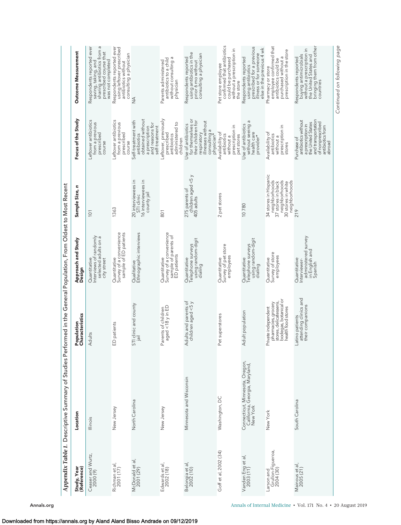|                                              | Appendix Table 1. Descriptive Summary of Studies Performed in the General Population, From Oldest to Most Recent |                                                                                                                     |                                                                                  |                                                                                                                      |                                                                                                                                                      |                                                                                                                                              |
|----------------------------------------------|------------------------------------------------------------------------------------------------------------------|---------------------------------------------------------------------------------------------------------------------|----------------------------------------------------------------------------------|----------------------------------------------------------------------------------------------------------------------|------------------------------------------------------------------------------------------------------------------------------------------------------|----------------------------------------------------------------------------------------------------------------------------------------------|
| Study, Year<br>(Reference)                   | Location                                                                                                         | Characteristics<br>Population                                                                                       | Approach and Study<br>Design                                                     | Sample Size, n                                                                                                       | Focus of the Study                                                                                                                                   | <b>Outcome Measurement</b>                                                                                                                   |
| Ceaser and Wurtz,<br>2000 (9)                | lllinois                                                                                                         | Adults                                                                                                              | Interviews of randomly<br>selected adults on a<br>Quantitative<br>city street    | 101                                                                                                                  | Leftover antibiotics<br>from a previous<br>prescribed<br>course                                                                                      | saving, taking, and<br>sharing antibiotics from a<br>Respondents reported ever<br>prescribed course that<br>was not completed                |
| Richman et al,<br>2001 (17)                  | New Jersey                                                                                                       | ED patients                                                                                                         | sample of ED patients<br>Survey of a convenience<br>Quantitative                 | 1363                                                                                                                 | Leftover antibiotics<br>from a previous<br>prescribed<br>course                                                                                      | Respondents reported ever<br>using leftover prescribed<br>consulting a physician<br>antibiotics without                                      |
| McDonald et al,<br>2001 (29)                 | North Carolina                                                                                                   | STI clinic and county<br>$\overline{a}$                                                                             | Ethnographic interviews<br>Qualitative                                           | 20 interviewees in<br>16 interviewees in<br>county jail<br>STI clinic                                                | obtained without<br>Self-treatment with<br>and reasons for<br>a prescription<br>self-treatment<br>antibiotics                                        | $\frac{1}{2}$                                                                                                                                |
| Edwards et al,<br>2002 (18)                  | New Jersey                                                                                                       | Parents of children<br>aged <18 y in ED                                                                             | Survey of a convenience<br>sample of parents of<br>ED patients<br>Quantitative   | 801                                                                                                                  | Leftover, previously<br>administered to<br>prescribed<br>antibiotics<br>children                                                                     | without consulting a<br>antibiotics to a child<br>Parents administered<br>physician                                                          |
| Belongia et al,<br>2002 (10)                 | Minnesota and Wisconsin                                                                                          | Adults and parents of<br>children aged <5 y                                                                         | using random-digit<br>Telephone surveys<br>Quantitative<br>dialing               | children aged <5 y<br>275 parents of<br>405 adults                                                                   | for themselves or<br>their children for<br>illnesses without<br>Use of antibiotics<br>consulting a<br>physician*<br>respiratory                      | using antibiotics in the<br>consulting a physician<br>Respondents reported<br>prior 6 mo without                                             |
| Goff et al, 2002 (34)                        | Washington, DC                                                                                                   | Pet superstores                                                                                                     | Survey of pet store<br>employees<br>Quantitative                                 | pet stores<br>$\sim$                                                                                                 | prescription in<br>Availability of<br>antibiotics<br>pet stores<br>without a                                                                         | Pet store employee<br>confirmed that antibiotics<br>without a prescription in<br>could be purchased<br>the store                             |
| Vanden Eng et al,<br>2003 (11)               | Connecticut, Minnesota, Oregon,<br>California, Georgia, Maryland,<br>New York                                    | Adult population                                                                                                    | using random-digit<br>Telephone surveys<br>Quantitative<br>dialing               | 10780                                                                                                                | without seeing a<br>Use of antibiotics<br>health care<br>provider*                                                                                   | prescribed for a previous<br>else in the previous 4 wk<br>illness or for someone<br>Respondents reported<br>using antibiotics                |
| Larson and<br>Grullon-Figueroa,<br>2004 (30) | New York                                                                                                         | bodegas, botanical or<br>health food stores<br>stores, delicatessens,<br>pharmacies, grocery<br>Private independent | Survey of store<br>employees<br>Quantitative                                     | 34 stores in Hispanic<br>neighborhoods<br>37 stores in black<br>neighborhoods<br>neighborhoods<br>30 stores in white | prescription in<br>Availability of<br>antibiotics<br>without a<br>stores                                                                             | employee confirmed that<br>prescription in the store<br>purchased without a<br>antibiotics could be<br>Pharmacy or store                     |
| Mainous et al<br>2005 (21)                   | South Carolina                                                                                                   | attending clinics and<br>their companions<br>Latino patients                                                        | administered survey<br>in English and<br>Quantitative<br>Interviewer-<br>Spanish | 219                                                                                                                  | and transportation<br>antibiotics without<br>ot nonprescribed<br>the United States<br>a prescription in<br>antibiotics from<br>Purchase of<br>abroad | bringing them from other<br>countries<br>without a prescription in<br>buying antimicrobials<br>the United States and<br>Respondents reported |
|                                              |                                                                                                                  |                                                                                                                     |                                                                                  |                                                                                                                      |                                                                                                                                                      |                                                                                                                                              |

Continued on following page Continued on following page

Downloaded from https://annals.org by Aland Aland Bisso Andrade on 09/12/2019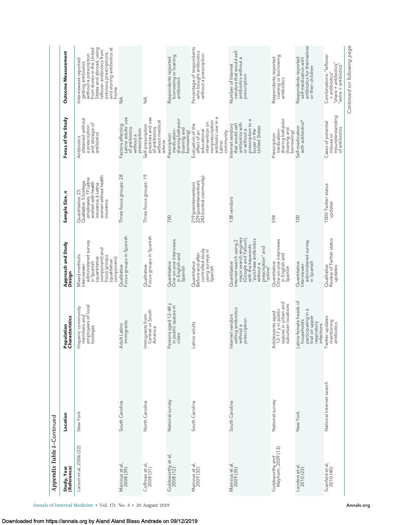| Appendix Table 1-Continued            |                          |                                                                                                          |                                                                                                                                                                                     |                                                                                                                                                    |                                                                                                                                      |                                                                                                                                                                                                                               |
|---------------------------------------|--------------------------|----------------------------------------------------------------------------------------------------------|-------------------------------------------------------------------------------------------------------------------------------------------------------------------------------------|----------------------------------------------------------------------------------------------------------------------------------------------------|--------------------------------------------------------------------------------------------------------------------------------------|-------------------------------------------------------------------------------------------------------------------------------------------------------------------------------------------------------------------------------|
| Study, Year<br>(Reference)            | Location                 | Characteristics<br>opulation                                                                             | Approach and Study<br>Design                                                                                                                                                        | Sample Size, n                                                                                                                                     | Focus of the Study                                                                                                                   | <b>Outcome Measurement</b>                                                                                                                                                                                                    |
| Larson et al, 2006 (22)               | New York                 | employees of local<br>Hispanic community<br>members and<br>bodegas                                       | administered survey<br>component) and<br>Mixed methods<br>tocus groups<br>quantitative<br>component)<br>(qualitative<br>in Spanish<br>Interviewer-                                  | insurance, 6 Latina<br>women without health<br>employees, 19 Latina<br>Quantitative: 25<br>Qualitative: 5 bodega<br>women with health<br>insurance | obtained without<br>and storage of<br>antibiotics<br>a prescription<br>Antibiotics                                                   | States and abroad, using<br>and storing antibiotics at<br>from stores in the United<br>leftover antibiotics from<br>previous prescriptions,<br>without a prescription<br>Interviewees reported<br>getting antibiotics<br>home |
| Mainous et al,<br>2008 (39)           | South Carolina           | immigrants<br>dult Latino                                                                                | Focus groups in Spanish<br>Qualitative                                                                                                                                              | Three focus groups: 28                                                                                                                             | Factors affecting<br>Latino adults' use<br>of antibiotics<br>prescription<br>without a                                               | $\frac{4}{2}$                                                                                                                                                                                                                 |
| Coffman et al,<br>2008 (31)           | North Carolina           | mmigrants from<br>Central or South<br>America                                                            | Qualitative<br>Focus groups in Spanish                                                                                                                                              | Three focus groups: 19                                                                                                                             | practices and use<br>without medical<br>Self-prescription<br>of antibiotics<br>advice                                                | ≨                                                                                                                                                                                                                             |
| Goldsworthy et al,<br>2008 (12)       | National survey          | ersons aged 12-44 y<br>in public spaces in<br>cities                                                     | Quantitative<br>One-on-one interviews<br>in English and<br>Spanish                                                                                                                  | 700                                                                                                                                                | sharing behavior<br>(loaning and<br>medication-<br>borrowing)<br>Prescription                                                        | borrowing or loaning<br>antibiotics<br>Respondents reported                                                                                                                                                                   |
| Mainous et al,<br>2009 (32)           | South Carolina           | atino adults                                                                                             | Quantitative<br>Before-and-after<br>controlled study<br>using surveys in<br>Spanish                                                                                                 | 219 (preintervention)<br>229 (postintervention)<br>243 (control community)                                                                         | antibiotic use in a<br>nonprescription<br>intervention on<br>Evaluation of the<br>educational<br>effect of an<br>community<br>Latino | Percentage of respondents<br>who bought antibiotics<br>without a prescription                                                                                                                                                 |
| Mainous et al,<br>2009 (35)           | South Carolina           | selling antibiotics<br>nternet vendors<br>prescription<br>without a                                      | major search engines<br>(Google and Yahoo!),<br>"purchase antibiotics<br>Internet search using 2<br>with the keywords<br>prescription" and<br>"online"<br>Quantitative<br>without a | 138 vendors                                                                                                                                        | prescription to a<br>antibiotics with<br>Internet vendors<br>that would sell<br>United States<br>buyer in the<br>or without a        | vendors that would sell<br>antibiotics without a<br>Number of Internet<br>prescription                                                                                                                                        |
| Goldsworthy and<br>Mayhorn, 2009 (13) | National survey          | 12-17 y in públic<br>spaces in urban and<br>suburban locations<br>Adolescents aged                       | One-on-one interviews<br>in English and<br>Quantitative<br>Spanish                                                                                                                  | 594                                                                                                                                                | sharing behavior<br>loaning and<br>medication-<br>borrowing)<br>Prescription                                                         | loaning or borrowing<br>antibiotics<br>Respondents reported                                                                                                                                                                   |
| Landers et al,<br>2010 (23)           | New York                 | atino female heads of<br>participating in a<br>trial on upper<br>households<br>respiratory<br>infections | administered survey<br>Quantitative<br>in Spanish<br>Interviewer-                                                                                                                   | 100                                                                                                                                                | with antibiotics*<br>Self-medication                                                                                                 | antibiotics for themselves<br>or their children<br>Respondents reported<br>self-medication with                                                                                                                               |
| Scanfeld et al,<br>2010 (40)          | National Internet search | witter updates<br>mentioning<br>antibiotics                                                              | Qualitative<br>Review of Twitter status<br>updates                                                                                                                                  | 1000 Twitter status<br>updates                                                                                                                     | misuse or<br>misunderstanding<br>Cases of potential<br>of antibiotics                                                                | Combinations: "leftover<br>+ antibiotics"<br>"share + antibiotics"<br>$"$ extra + antibiotics"                                                                                                                                |
|                                       |                          |                                                                                                          |                                                                                                                                                                                     |                                                                                                                                                    |                                                                                                                                      | Continued on following page                                                                                                                                                                                                   |

Downloaded from https://annals.org by Aland Aland Bisso Andrade on 09/12/2019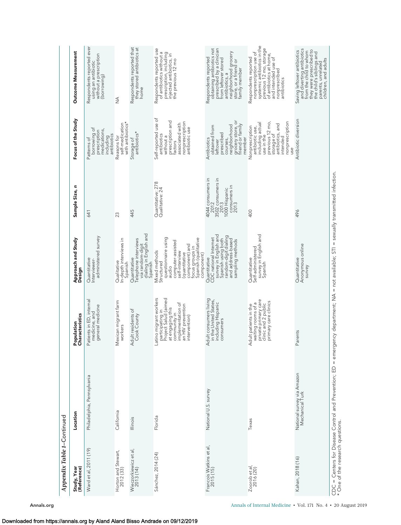| Appendix Table 1-Continued           |                                                              |                                                                                                                                                                  |                                                                                                                                                                                               |                                                                                                 |                                                                                                                                                                |                                                                                                                                                                                            |
|--------------------------------------|--------------------------------------------------------------|------------------------------------------------------------------------------------------------------------------------------------------------------------------|-----------------------------------------------------------------------------------------------------------------------------------------------------------------------------------------------|-------------------------------------------------------------------------------------------------|----------------------------------------------------------------------------------------------------------------------------------------------------------------|--------------------------------------------------------------------------------------------------------------------------------------------------------------------------------------------|
| Study, Year<br>(Reference)           | Location                                                     | <b>Characteristics</b><br>Population                                                                                                                             | Approach and Study<br>Design                                                                                                                                                                  | Sample Size, n                                                                                  | Focus of the Study                                                                                                                                             | Outcome Measurement                                                                                                                                                                        |
| Ward et al, 2011 (19)                | Philadelphia, Pennsylvania                                   | atients in ED, internal<br>general medicine<br>medicine, and                                                                                                     | administered survey<br>Quantitative<br>Interviewer-                                                                                                                                           | 641                                                                                             | borrowing of<br>medications,<br>prescription<br>including<br>antibiotics<br>Patterns of                                                                        | Respondents reported ever<br>using an antibiotic<br>without a prescription<br>(borrowing)                                                                                                  |
| Horton and Stewart,<br>2012 (33)     | California                                                   | Mexican migrant farm<br>workers                                                                                                                                  | In-depth interviews in<br>Qualitative<br>Spanish                                                                                                                                              | 23                                                                                              | with antibiotics <sup>*</sup><br>self-medication<br>Reasons for                                                                                                | $\frac{1}{2}$                                                                                                                                                                              |
| Wieczorkiewicz et al,<br>2013 (14)   | lllinois                                                     | Adult residents of<br>Cook County                                                                                                                                | via random-digit<br>dialing in English and<br>Spanish<br>Telephone interviews<br>Quantitative                                                                                                 | 445                                                                                             | Storage of<br>antibiotics*                                                                                                                                     | Respondents reported that<br>they stored antibiotics at<br>home                                                                                                                            |
| Sánchez, 2014 (24)                   | Florida                                                      | atino migrant workers<br>participating in<br>Project Salud (aimed<br>implementation of<br>an HIV prevention<br>at engaging this<br>community in<br>intervention) | questionnaire using<br>Spanish (qualitative<br>computer-assisted<br>component) and<br>ocus groups in<br>Mixed methods<br>self-interview<br>(quantitative<br>component)<br>Structured<br>audio | Quantitative: 278<br>Qualitative: 24                                                            | Self-reported use of<br>prescription and<br>nonprescription<br>associated with<br>antibiotic use<br>antibiotics<br>without a<br><b>lactors</b>                 | Respondents reported use<br>of antibiotics without $\frac{3}{2}$<br>prescription, including<br>injected antibiotics, in<br>the previous 12 mo                                              |
| Francois Watkins et al,<br>2015 (15) | National U.S. survey                                         | Adult consumers living<br>in the United States,<br>including Hispanic<br>consumers                                                                               | survey in English and<br>random-digit dialing<br>Spanish using both<br>CDC national Internet<br>and address-based<br>sampling methods<br>Quantitative                                         | 4044 consumers in<br>3502 consumers in<br>2013<br>consumers in<br>1000 Hispanic<br>2012<br>2013 | grocery store, or<br>friend or family<br>neighborhood<br>obtained from<br>prescribed<br>member<br>Antibiotics<br>courses,<br>leftover                          | obtaining antibiotics not<br>prescribed by a clinician<br>neighborhood grocery<br>store, or a friend or<br>Respondents reported<br>from leftover stored<br>family member<br>antibiotics, a |
| Zoorob et al,<br>2016 (20)           | Texas                                                        | waiting rooms of a<br>private primary care<br>primary care clinics<br>clinic and 2 public<br>Adult patients in the                                               | survey in English and<br>Self-administered<br>Quantitative<br>Spanish                                                                                                                         | 400                                                                                             | nonprescription<br>previous 12 mo,<br>including actual<br>antibiotics, and<br>Nonprescription<br>antibiotic use<br>storage of<br>use in the<br>intended<br>use | systemic antibiotics in the<br>previous 12 mo, storage<br>of antibiotics at home,<br>nonprescription use of<br>Respondents reported<br>and intended use of<br>nonprescribed<br>antibiotics |
| Kahan, 2018 (16)                     | National survey via Amazon<br>Mechanical Turk                | arents                                                                                                                                                           | Anonymous online<br>Quantitative<br>survey                                                                                                                                                    | 496                                                                                             | Antibiotic diversion                                                                                                                                           | Saving leftover antibiotics<br>and diverting antibiotics<br>from the child to whom<br>they were prescribed to<br>the child's siblings and<br>parents, unrelated<br>children, and adults    |
| * One of the research questions.     | CDC = Centers for Disease Control and Prevention; ED = emerg |                                                                                                                                                                  | ency department; NA = not available; STI = sexually transmitted infection.                                                                                                                    |                                                                                                 |                                                                                                                                                                |                                                                                                                                                                                            |